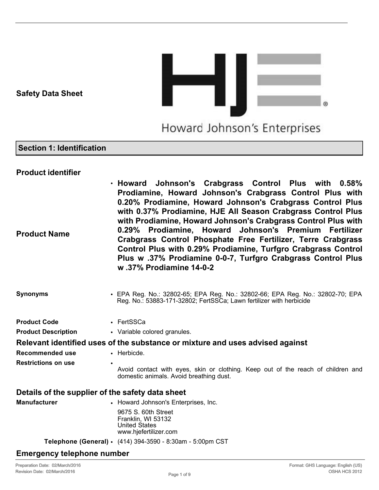# **Safety Data Sheet**



# **Section 1: Identification**

# **Product identifier**

**Product Name** • **Howard Johnson's Crabgrass Control Plus with 0.58% Prodiamine, Howard Johnson's Crabgrass Control Plus with 0.20% Prodiamine, Howard Johnson's Crabgrass Control Plus with 0.37% Prodiamine, HJE All Season Crabgrass Control Plus with Prodiamine, Howard Johnson's Crabgrass Control Plus with 0.29% Prodiamine, Howard Johnson's Premium Fertilizer Crabgrass Control Phosphate Free Fertilizer, Terre Crabgrass Control Plus with 0.29% Prodiamine, Turfgro Crabgrass Control Plus w .37% Prodiamine 0-0-7, Turfgro Crabgrass Control Plus w .37% Prodiamine 14-0-2**

# **Synonyms** • EPA Reg. No.: 32802-65; EPA Reg. No.: 32802-66; EPA Reg. No.: 32802-70; EPA Reg. No.: 53883-171-32802; FertSSCa; Lawn fertilizer with herbicide

**Product Code • FertSSCa Product Description** • Variable colored granules. **Relevant identified uses of the substance or mixture and uses advised against Recommended use • Herbicde. Restrictions on use** Avoid contact with eyes, skin or clothing. Keep out of the reach of children and domestic animals. Avoid breathing dust.

# **Details of the supplier of the safety data sheet**

| <b>Manufacturer</b> | • Howard Johnson's Enterprises, Inc.                                                       |
|---------------------|--------------------------------------------------------------------------------------------|
|                     | 9675 S. 60th Street<br>Franklin, WI 53132<br><b>United States</b><br>www.hjefertilizer.com |
|                     | Telephone (General) • (414) 394-3590 - 8:30am - 5:00pm CST                                 |

# **Emergency telephone number**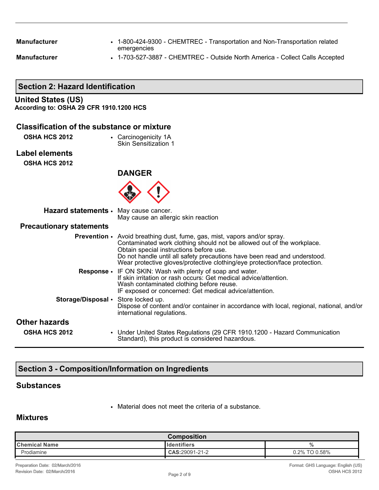**Manufacturer** • 1-800-424-9300 - CHEMTREC - Transportation and Non-Transportation related emergencies

**Manufacturer** • 1-703-527-3887 - CHEMTREC - Outside North America - Collect Calls Accepted

# **Section 2: Hazard Identification**

# **United States (US)**

**According to: OSHA 29 CFR 1910.1200 HCS**

#### **Classification of the substance or mixture**

- **OSHA HCS 2012** Carcinogenicity 1A
	- Skin Sensitization 1
- **Label elements**

**OSHA HCS 2012**



| Hazard statements · May cause cancer. | May cause an allergic skin reaction                                                                                                                                                                                                                                                                                                                             |
|---------------------------------------|-----------------------------------------------------------------------------------------------------------------------------------------------------------------------------------------------------------------------------------------------------------------------------------------------------------------------------------------------------------------|
| <b>Precautionary statements</b>       |                                                                                                                                                                                                                                                                                                                                                                 |
|                                       | <b>Prevention</b> • Avoid breathing dust, fume, gas, mist, vapors and/or spray.<br>Contaminated work clothing should not be allowed out of the workplace.<br>Obtain special instructions before use.<br>Do not handle until all safety precautions have been read and understood.<br>Wear protective gloves/protective clothing/eye protection/face protection. |
|                                       | <b>Response •</b> IF ON SKIN: Wash with plenty of soap and water.<br>If skin irritation or rash occurs: Get medical advice/attention.<br>Wash contaminated clothing before reuse.<br>IF exposed or concerned: Get medical advice/attention.                                                                                                                     |
| Storage/Disposal • Store locked up.   | Dispose of content and/or container in accordance with local, regional, national, and/or<br>international regulations.                                                                                                                                                                                                                                          |
| <b>Other hazards</b>                  |                                                                                                                                                                                                                                                                                                                                                                 |
| <b>OSHA HCS 2012</b>                  | • Under United States Regulations (29 CFR 1910.1200 - Hazard Communication<br>Standard), this product is considered hazardous.                                                                                                                                                                                                                                  |

# **Section 3 - Composition/Information on Ingredients**

#### **Substances**

• Material does not meet the criteria of a substance.

### **Mixtures**

| Composition          |                |               |
|----------------------|----------------|---------------|
| <b>Chemical Name</b> | lldentifiers   | 70            |
| Prodiamine           | CAS:29091-21-2 | 0.2% TO 0.58% |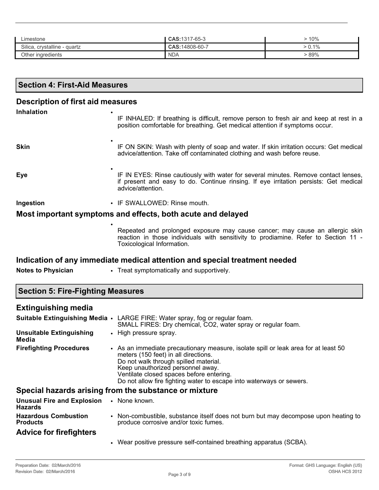| Limestone                    | CAS: 1317-65-3 | $\cdot$ 10%  |
|------------------------------|----------------|--------------|
| Silica, crystalline - quartz | CAS:14808-60-7 | $\cdot$ 0.1% |
| Other ingredients            | <b>NDA</b>     | $89\%$       |

| <b>Section 4: First-Aid Measures</b>                        |                                                                                                                                                                                                   |  |  |  |
|-------------------------------------------------------------|---------------------------------------------------------------------------------------------------------------------------------------------------------------------------------------------------|--|--|--|
| <b>Description of first aid measures</b>                    |                                                                                                                                                                                                   |  |  |  |
| <b>Inhalation</b>                                           | IF INHALED: If breathing is difficult, remove person to fresh air and keep at rest in a<br>position comfortable for breathing. Get medical attention if symptoms occur.                           |  |  |  |
| <b>Skin</b>                                                 | IF ON SKIN: Wash with plenty of soap and water. If skin irritation occurs: Get medical<br>advice/attention. Take off contaminated clothing and wash before reuse.                                 |  |  |  |
| Eye                                                         | IF IN EYES: Rinse cautiously with water for several minutes. Remove contact lenses,<br>if present and easy to do. Continue rinsing. If eye irritation persists: Get medical<br>advice/attention.  |  |  |  |
| Ingestion                                                   | • IF SWALLOWED: Rinse mouth.                                                                                                                                                                      |  |  |  |
| Most important symptoms and effects, both acute and delayed |                                                                                                                                                                                                   |  |  |  |
|                                                             | Repeated and prolonged exposure may cause cancer; may cause an allergic skin<br>reaction in those individuals with sensitivity to prodiamine. Refer to Section 11 -<br>Toxicological Information. |  |  |  |

# **Indication of any immediate medical attention and special treatment needed**

**Notes to Physician** • Treat symptomatically and supportively.

# **Extinguishing media**

| Suitable Extinguishing Media .                             | LARGE FIRE: Water spray, fog or regular foam.<br>SMALL FIRES: Dry chemical, CO2, water spray or regular foam.                                                                                                                                                                                                                 |
|------------------------------------------------------------|-------------------------------------------------------------------------------------------------------------------------------------------------------------------------------------------------------------------------------------------------------------------------------------------------------------------------------|
| <b>Unsuitable Extinguishing</b><br>Media                   | • High pressure spray.                                                                                                                                                                                                                                                                                                        |
| <b>Firefighting Procedures</b>                             | • As an immediate precautionary measure, isolate spill or leak area for at least 50<br>meters (150 feet) in all directions.<br>Do not walk through spilled material.<br>Keep unauthorized personnel away.<br>Ventilate closed spaces before entering.<br>Do not allow fire fighting water to escape into waterways or sewers. |
|                                                            | Special hazards arising from the substance or mixture                                                                                                                                                                                                                                                                         |
| Unusual Fire and Explosion . None known.<br><b>Hazards</b> |                                                                                                                                                                                                                                                                                                                               |
| <b>Hazardous Combustion</b><br><b>Products</b>             | • Non-combustible, substance itself does not burn but may decompose upon heating to<br>produce corrosive and/or toxic fumes.                                                                                                                                                                                                  |
| <b>Advice for firefighters</b>                             |                                                                                                                                                                                                                                                                                                                               |
|                                                            | • Wear positive pressure self-contained breathing apparatus (SCBA).                                                                                                                                                                                                                                                           |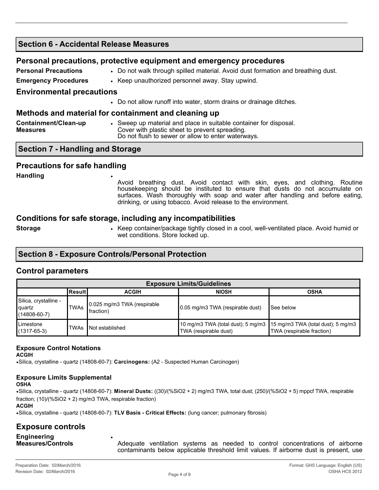# **Section 6 - Accidental Release Measures Personal precautions, protective equipment and emergency procedures Personal Precautions •• Do not walk through spilled material. Avoid dust formation and breathing dust. Emergency Procedures** • Keep unauthorized personnel away. Stay upwind.

#### **Environmental precautions**

• Do not allow runoff into water, storm drains or drainage ditches.

#### **Methods and material for containment and cleaning up**

| Containment/Clean-up | • Sweep up material and place in suitable container for disposal. |
|----------------------|-------------------------------------------------------------------|
| <b>Measures</b>      | Cover with plastic sheet to prevent spreading.                    |
|                      | Do not flush to sewer or allow to enter waterways.                |

#### **Section 7 - Handling and Storage**

#### **Precautions for safe handling**

**Handling** •

Avoid breathing dust. Avoid contact with skin, eyes, and clothing. Routine housekeeping should be instituted to ensure that dusts do not accumulate on surfaces. Wash thoroughly with soap and water after handling and before eating, drinking, or using tobacco. Avoid release to the environment.

#### **Conditions for safe storage, including any incompatibilities**

**Storage** • Keep container/package tightly closed in a cool, well-ventilated place. Avoid humid or wet conditions. Store locked up.

# **Section 8 - Exposure Controls/Personal Protection**

#### **Control parameters**

| <b>Exposure Limits/Guidelines</b>                     |             |                                           |                                                                                                   |                           |
|-------------------------------------------------------|-------------|-------------------------------------------|---------------------------------------------------------------------------------------------------|---------------------------|
|                                                       | l Result I  | <b>ACGIH</b>                              | <b>NIOSH</b>                                                                                      | <b>OSHA</b>               |
| Silica, crystalline -<br>quartz<br>$(14808 - 60 - 7)$ | <b>TWAs</b> | 0.025 mg/m3 TWA (respirable<br>Ifraction) | 0.05 mg/m3 TWA (respirable dust)                                                                  | <b>I</b> See below        |
| Limestone<br>$(1317 - 65 - 3)$                        | TWAs        | <b>Not established</b>                    | 10 mg/m3 TWA (total dust); 5 mg/m3    15 mg/m3 TWA (total dust); 5 mg/m3<br>TWA (respirable dust) | TWA (respirable fraction) |

#### **Exposure Control Notations**

**ACGIH**

•Silica, crystalline - quartz (14808-60-7): **Carcinogens:** (A2 - Suspected Human Carcinogen)

# **Exposure Limits Supplemental**

**OSHA**

•Silica, crystalline - quartz (14808-60-7): **Mineral Dusts:** ((30)/(%SiO2 + 2) mg/m3 TWA, total dust; (250)/(%SiO2 + 5) mppcf TWA, respirable fraction; (10)/(%SiO2 + 2) mg/m3 TWA, respirable fraction) **ACGIH**

•Silica, crystalline - quartz (14808-60-7): **TLV Basis - Critical Effects:** (lung cancer; pulmonary fibrosis)

•

### **Exposure controls**

**Engineering Measures/Controls**

Adequate ventilation systems as needed to control concentrations of airborne contaminants below applicable threshold limit values. If airborne dust is present, use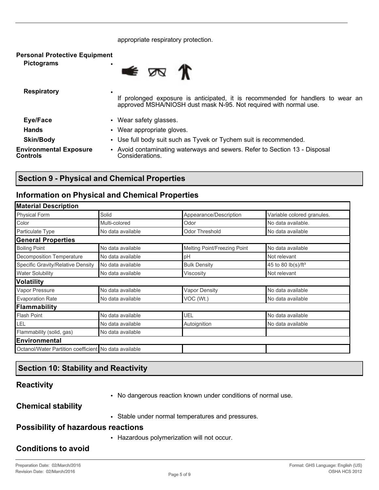#### appropriate respiratory protection.

| <b>Personal Protective Equipment</b><br><b>Pictograms</b><br>٠ | $\bullet$ $\pi$ $\pi$                                                                                                                                |
|----------------------------------------------------------------|------------------------------------------------------------------------------------------------------------------------------------------------------|
| <b>Respiratory</b>                                             | If prolonged exposure is anticipated, it is recommended for handlers to wear an<br>approved MSHA/NIOSH dust mask N-95. Not required with normal use. |
| Eye/Face                                                       | • Wear safety glasses.                                                                                                                               |
| <b>Hands</b>                                                   | • Wear appropriate gloves.                                                                                                                           |
| <b>Skin/Body</b>                                               | • Use full body suit such as Tyvek or Tychem suit is recommended.                                                                                    |
| <b>Environmental Exposure</b><br><b>Controls</b>               | • Avoid contaminating waterways and sewers. Refer to Section 13 - Disposal<br>Considerations.                                                        |

# **Section 9 - Physical and Chemical Properties**

# **Information on Physical and Chemical Properties**

| <b>Material Description</b>                           |                              |                            |  |
|-------------------------------------------------------|------------------------------|----------------------------|--|
| Solid                                                 | Appearance/Description       | Variable colored granules. |  |
| Multi-colored                                         | Odor                         | No data available.         |  |
| No data available                                     | <b>Odor Threshold</b>        | No data available          |  |
|                                                       |                              |                            |  |
| No data available                                     | Melting Point/Freezing Point | No data available          |  |
| No data available                                     | pH                           | Not relevant               |  |
| No data available                                     | <b>Bulk Density</b>          | 45 to 80 $lb(s)/ft^3$      |  |
| No data available                                     | Viscosity                    | Not relevant               |  |
|                                                       |                              |                            |  |
| No data available                                     | <b>Vapor Density</b>         | No data available          |  |
| No data available                                     | VOC (Wt.)                    | No data available          |  |
|                                                       |                              |                            |  |
| No data available                                     | UEL                          | No data available          |  |
| No data available                                     | Autoignition                 | No data available          |  |
| No data available                                     |                              |                            |  |
|                                                       |                              |                            |  |
| Octanol/Water Partition coefficient No data available |                              |                            |  |
|                                                       |                              |                            |  |

# **Section 10: Stability and Reactivity**

# **Reactivity**

• No dangerous reaction known under conditions of normal use.

**Chemical stability**

• Stable under normal temperatures and pressures.

## **Possibility of hazardous reactions**

• Hazardous polymerization will not occur.

# **Conditions to avoid**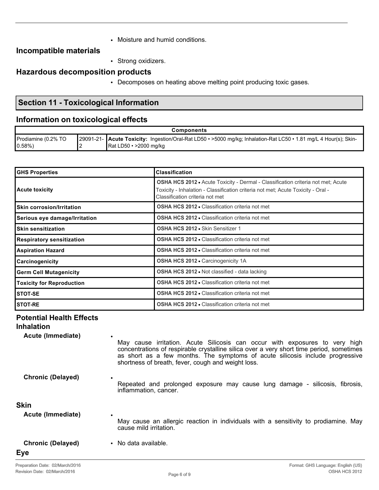• Moisture and humid conditions.

# **Incompatible materials**

• Strong oxidizers.

# **Hazardous decomposition products**

• Decomposes on heating above melting point producing toxic gases.

# **Section 11 - Toxicological Information**

# **Information on toxicological effects**

| <b>Components</b>   |  |                                                                                                                   |
|---------------------|--|-------------------------------------------------------------------------------------------------------------------|
| Prodiamine (0.2% TO |  | 29091-21- Acute Toxicity: Ingestion/Oral-Rat LD50 • >5000 mg/kg; Inhalation-Rat LC50 • 1.81 mg/L 4 Hour(s); Skin- |
| $10.58\%)$          |  | $\blacksquare$ Rat LD50 • >2000 mg/kg                                                                             |

| <b>GHS Properties</b>            | <b>Classification</b>                                                                                                                                                                                          |  |
|----------------------------------|----------------------------------------------------------------------------------------------------------------------------------------------------------------------------------------------------------------|--|
| <b>Acute toxicity</b>            | <b>OSHA HCS 2012 •</b> Acute Toxicity - Dermal - Classification criteria not met; Acute<br>Toxicity - Inhalation - Classification criteria not met; Acute Toxicity - Oral -<br>Classification criteria not met |  |
| <b>Skin corrosion/Irritation</b> | <b>OSHA HCS 2012 • Classification criteria not met</b>                                                                                                                                                         |  |
| Serious eye damage/Irritation    | <b>OSHA HCS 2012 - Classification criteria not met</b>                                                                                                                                                         |  |
| <b>Skin sensitization</b>        | OSHA HCS 2012 . Skin Sensitizer 1                                                                                                                                                                              |  |
| <b>Respiratory sensitization</b> | <b>OSHA HCS 2012 • Classification criteria not met</b>                                                                                                                                                         |  |
| <b>Aspiration Hazard</b>         | <b>OSHA HCS 2012 • Classification criteria not met</b>                                                                                                                                                         |  |
| Carcinogenicity                  | <b>OSHA HCS 2012 • Carcinogenicity 1A</b>                                                                                                                                                                      |  |
| <b>Germ Cell Mutagenicity</b>    | OSHA HCS 2012 . Not classified - data lacking                                                                                                                                                                  |  |
| <b>Toxicity for Reproduction</b> | <b>OSHA HCS 2012 • Classification criteria not met</b>                                                                                                                                                         |  |
| STOT-SE                          | <b>OSHA HCS 2012 • Classification criteria not met</b>                                                                                                                                                         |  |
| <b>STOT-RE</b>                   | <b>OSHA HCS 2012 • Classification criteria not met</b>                                                                                                                                                         |  |

# **Potential Health Effects**

**Inhalation**

**Acute (Immediate)** •

May cause irritation. Acute Silicosis can occur with exposures to very high concentrations of respirable crystalline silica over a very short time period, sometimes as short as a few months. The symptoms of acute silicosis include progressive shortness of breath, fever, cough and weight loss.

- **Chronic (Delayed)** •
- Repeated and prolonged exposure may cause lung damage silicosis, fibrosis, inflammation, cancer.

#### **Skin**

| Acute (Immediate)                      | May cause an allergic reaction in individuals with a sensitivity to prodiamine. May<br>cause mild irritation. |
|----------------------------------------|---------------------------------------------------------------------------------------------------------------|
| <b>Chronic (Delayed)</b><br><b>Eye</b> | No data available.                                                                                            |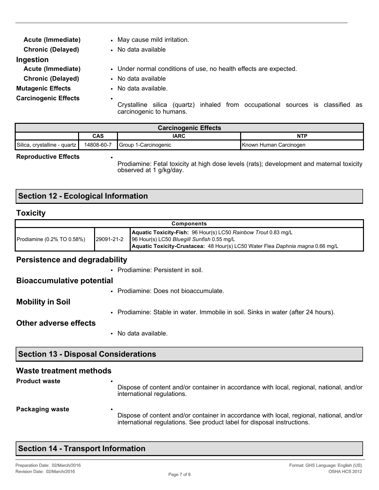| Acute (Immediate)           | • May cause mild irritation.                                                                                                 |
|-----------------------------|------------------------------------------------------------------------------------------------------------------------------|
| <b>Chronic (Delayed)</b>    | • No data available                                                                                                          |
| Ingestion                   |                                                                                                                              |
| Acute (Immediate)           | • Under normal conditions of use, no health effects are expected.                                                            |
| <b>Chronic (Delayed)</b>    | • No data available                                                                                                          |
| <b>Mutagenic Effects</b>    | • No data available.                                                                                                         |
| <b>Carcinogenic Effects</b> | $\bullet$<br>inhaled from occupational sources is classified as<br>Crystalline silica<br>(quartz)<br>carcinogenic to humans. |

| <b>Carcinogenic Effects</b>  |            |                      |                        |
|------------------------------|------------|----------------------|------------------------|
|                              | <b>CAS</b> | <b>IARC</b>          | NTP                    |
| Silica, crystalline - quartz | 14808-60-7 | Group 1-Carcinogenic | Known Human Carcinogen |

#### **Reproductive Effects** •

Prodiamine: Fetal toxicity at high dose levels (rats); development and maternal toxicity observed at 1 g/kg/day.

# **Section 12 - Ecological Information**

#### **Toxicity**

| <b>Components</b>          |  |                                                                                                                                                                                                           |
|----------------------------|--|-----------------------------------------------------------------------------------------------------------------------------------------------------------------------------------------------------------|
| Prodiamine (0.2% TO 0.58%) |  | Aquatic Toxicity-Fish: 96 Hour(s) LC50 Rainbow Trout 0.83 mg/L<br>29091-21-2 96 Hour(s) LC50 Bluegill Sunfish 0.55 mg/L<br>Aquatic Toxicity-Crustacea: 48 Hour(s) LC50 Water Flea Daphnia magna 0.66 mg/L |

#### **Persistence and degradability**

• Prodiamine: Persistent in soil.

#### **Bioaccumulative potential**

• Prodiamine: Does not bioaccumulate.

#### **Mobility in Soil**

• Prodiamine: Stable in water. Immobile in soil. Sinks in water (after 24 hours).

#### **Other adverse effects**

• No data available.

# **Section 13 - Disposal Considerations**

#### **Waste treatment methods Product waste** Dispose of content and/or container in accordance with local, regional, national, and/or

international regulations.

### **Packaging waste**

Dispose of content and/or container in accordance with local, regional, national, and/or international regulations. See product label for disposal instructions.

|  |  | <b>Section 14 - Transport Information</b> |  |
|--|--|-------------------------------------------|--|
|  |  |                                           |  |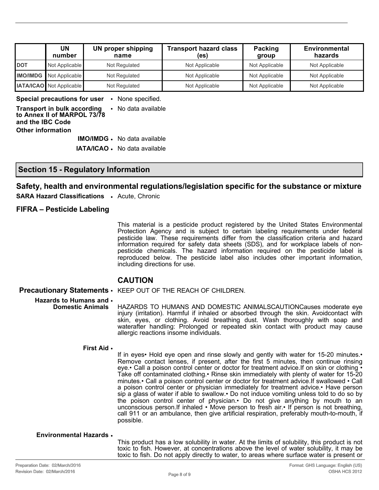|                 | UN<br>number                    | <b>UN proper shipping</b><br>name | <b>Transport hazard class</b><br>(es) | Packing<br>group | <b>Environmental</b><br>hazards |
|-----------------|---------------------------------|-----------------------------------|---------------------------------------|------------------|---------------------------------|
| <b>DOT</b>      | Not Applicable                  | Not Regulated                     | Not Applicable                        | Not Applicable   | Not Applicable                  |
| <b>IMO/IMDG</b> | Not Applicable                  | Not Regulated                     | Not Applicable                        | Not Applicable   | Not Applicable                  |
|                 | <b>IATA/ICAO</b> Not Applicable | Not Regulated                     | Not Applicable                        | Not Applicable   | Not Applicable                  |

**Special precautions for user** • None specified.

**Transport in bulk according to Annex II of MARPOL 73/78 and the IBC Code** • No data available **Other information IMO/IMDG** • No data available

**IATA/ICAO** • No data available

### **Section 15 - Regulatory Information**

#### **Safety, health and environmental regulations/legislation specific for the substance or mixture**

**SARA Hazard Classifications** • Acute, Chronic

#### **FIFRA – Pesticide Labeling**

This material is a pesticide product registered by the United States Environmental Protection Agency and is subject to certain labeling requirements under federal pesticide law. These requirements differ from the classification criteria and hazard information required for safety data sheets (SDS), and for workplace labels of nonpesticide chemicals. The hazard information required on the pesticide label is reproduced below. The pesticide label also includes other important information, including directions for use.

### **CAUTION**

**Precautionary Statements** • KEEP OUT OF THE REACH OF CHILDREN.

#### **Hazards to Humans and**  •

**Domestic Animals** HAZARDS TO HUMANS AND DOMESTIC ANIMALSCAUTIONCauses moderate eye injury (irritation). Harmful if inhaled or absorbed through the skin. Avoidcontact with skin, eyes, or clothing. Avoid breathing dust. Wash thoroughly with soap and waterafter handling: Prolonged or repeated skin contact with product may cause allergic reactions insome individuals.

#### **First Aid** •

If in eyes• Hold eye open and rinse slowly and gently with water for 15-20 minutes.• Remove contact lenses, if present, after the first 5 minutes, then continue rinsing eye.• Call a poison control center or doctor for treatment advice.If on skin or clothing • Take off contaminated clothing.• Rinse skin immediately with plenty of water for 15-20 minutes.• Call a poison control center or doctor for treatment advice.If swallowed • Call a poison control center or physician immediately for treatment advice.• Have person sip a glass of water if able to swallow.• Do not induce vomiting unless told to do so by the poison control center of physician.• Do not give anything by mouth to an unconscious person.If inhaled • Move person to fresh air.• If person is not breathing, call 911 or an ambulance, then give artificial respiration, preferably mouth-to-mouth, if possible.

#### **Environmental Hazards** •

This product has a low solubility in water. At the limits of solubility, this product is not toxic to fish. However, at concentrations above the level of water solubility, it may be toxic to fish. Do not apply directly to water, to areas where surface water is present or